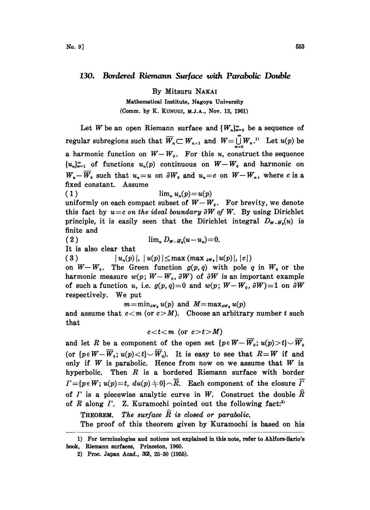## 130. Bordered Riemann Surface with Parabolic Double

By Mitsuru NAKAI

Mathematical Institute, Nagoya University

(Comm. by K. KUNUGI, M.J.A., Nov. 13, 1961)

Let W be an open Riemann surface and  $\{W_n\}_{n=0}^{\infty}$  be a sequence of regular subregions such that  $\overline{W}_n \subset W_{n+1}$  and  $W = \bigcup_{n=1}^{\infty} W_n$ .<sup>13</sup> Let  $u(p)$  be a harmonic function on  $W-W_0$ . For this u, construct the sequence  ${u_n}_{n=1}^{\infty}$  of functions  $u_n(p)$  continuous on  $W-W_0$  and harmonic on  $W_n-\overline{W}_0$  such that  $u_n=u$  on  $\partial W_0$  and  $u_n=c$  on  $W-W_n$ , where c is a fixed constant. Assume

$$
(1) \qquad \lim_{n} u_n(p) = u(p)
$$

uniformly on each compact subset of  $W-W_0$ . For brevity, we denote this fact by  $u=c$  on the ideal boundary  $\partial W$  of W. By using Dirichlet principle, it is easily seen that the Dirichlet integral  $D_{w-\bar{w}_0}(u)$  is finite and

( 2 )  $\lim_{n} D_{w_{-}\bar{w}_{n}}(u-u_{n}) = 0.$ 

It is also clear that

( 3 )  $|u_n(p)|, |u(p)| \leq \max \left( \max_{\partial P} |u(p)|, |c| \right)$ 

on  $W-W_0$ . The Green function  $g(p,q)$  with pole q in  $W_0$  or the harmonic measure  $w(p; W-W_0, \partial W)$  of  $\partial W$  is an important example of such a function u, i.e.  $g(p, q) = 0$  and  $w(p; W-W_0, \partial W) = 1$  on  $\partial W$ respectively. We put

 $m=\min_{\partial W_0} u(p)$  and  $M=\max_{\partial W_0} u(p)$ 

and assume that  $c < m$  (or  $c > M$ ). Choose an arbitrary number t such that

 $c < t < m$  (or  $c > t > M$ )

and let R be a component of the open set  $\{p \in W - \overline{W}_0; u(p) > t\} \cup \overline{W}_0$ (or  $\{p \in W - \overline{W}_0; u(p) < t\} \setminus \overline{W}_0$ ). It is easy to see that  $R = W$  if and only if  $W$  is parabolic. Hence from now on we assume that  $W$  is hyperbolic. Then  $R$  is a bordered Riemann surface with border  $\Gamma = \{p \in W; u(p) = t, du(p) \neq 0\} \frown \overline{R}$ . Each component of the closure  $\overline{\Gamma}$ of  $\Gamma$  is a piecewise analytic curve in W. Construct the double  $\hat{R}$ of R along  $\Gamma$ . Z. Kuramochi pointed out the following fact:<sup>2)</sup>

THEOREM. The surface  $\hat{R}$  is closed or parabolic.

The proof of this theorem given by Kuramochi is based on his

<sup>1)</sup> For terminologies and notions not explained in this note, refer to Ahlfors-Sario's book, Riemann surfaces, Princeton, 1960.

<sup>2)</sup> Proc. Japan Acad., 32, 25-30 (1955).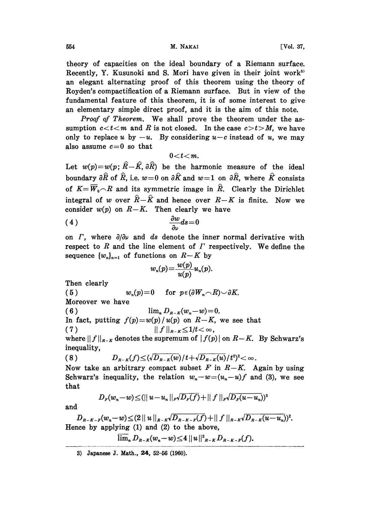554 [Vol. 37,

theory of capacities on the ideal boundary of a Riemann surface. Recently, Y. Kusunoki and S. Mori have given in their joint work<sup>3</sup> an elegant alternating proof of this theorem using the theory of Royden's compactification of a Riemann surface. But in view of the fundamental feature of this theorem, it is of some interest to give an elementary simple direct proof, and it is the aim of this note.

Proof of Theorem. We shall prove the theorem under the assumption  $c < t < m$  and R is not closed. In the case  $c > t > M$ , we have only to replace u by  $-u$ . By considering  $u-c$  instead of u, we may also assume  $c=0$  so that

$$
0 < t < m.
$$

Let  $w(p)=w(p: \hat{R}-\hat{K}, \partial \hat{R})$  be the harmonic measure of the ideal boundary  $\partial \hat{R}$  of  $\hat{R}$ , i.e.  $w=0$  on  $\partial \hat{K}$  and  $w=1$  on  $\partial \hat{R}$ , where  $\hat{K}$  consists of  $K=\overline{W}_0\cap R$  and its symmetric image in  $\hat{R}$ . Clearly the Dirichlet integral of w over  $\hat{R}-\hat{K}$  and hence over  $R-K$  is finite. Now we consider  $w(p)$  on  $R-K$ . Then clearly we have

$$
\frac{\partial w}{\partial \nu} ds = 0
$$

on  $\Gamma$ , where  $\partial/\partial \nu$  and ds denote the inner normal derivative with respect to R and the line element of  $\Gamma$  respectively. We define the sequence  $\{w_n\}_{n=1}$  of functions on  $R-K$  by

$$
w_n(p) = \frac{w(p)}{u(p)} u_n(p).
$$

Then clearly

(5)  $w_n(p)=0$  for  $p \in (\partial W_n \cap R) \cup \partial K$ . Moreover we have (6)  $\lim_{n} D_{R-K}(w_n-w)=0.$ In fact, putting  $f(p) = w(p)/u(p)$  on  $R-K$ , we see that (7)  $|| f ||_{R-K} \leq 1/t < \infty$ , where  $|| f ||_{R-K}$  denotes the supremum of  $| f(p) |$  on  $R-K$ . By Schwarz's inequality,

(8) 
$$
D_{R-K}(f) \leq (\sqrt{D_{R-K}(w)})/t + \sqrt{D_{R-K}(u)}/t^2)^2 < \infty
$$
.

Now take an arbitrary compact subset F in  $R-K$ . Again by using Schwarz's inequality, the relation  $w_n-w=(u_n-u)f$  and (3), we see that

$$
D_{F}(w_{n}-w) \leq (||u-u_{n}||_{F}\sqrt{D_{F}(f)}+||f||_{F}\sqrt{D_{F}(u-u_{n}}))^{2}
$$

and

 $D_{R-K-F}(w_n-w) \leq (2 ||u||_{R-K} \sqrt{D_{R-K-F}(f)} + ||f||_{R-K} \sqrt{D_{R-K}(u-u_n)})^2.$ Hence by applying (1) and (2) to the above,

$$
\overline{\lim}_{n} D_{R-K}(w_{n}-w) \leq 4 ||u||_{R-K}^{2} D_{R-K-F}(f).
$$

<sup>3)</sup> Japanese J. Math., 24, 52-56 (1960).